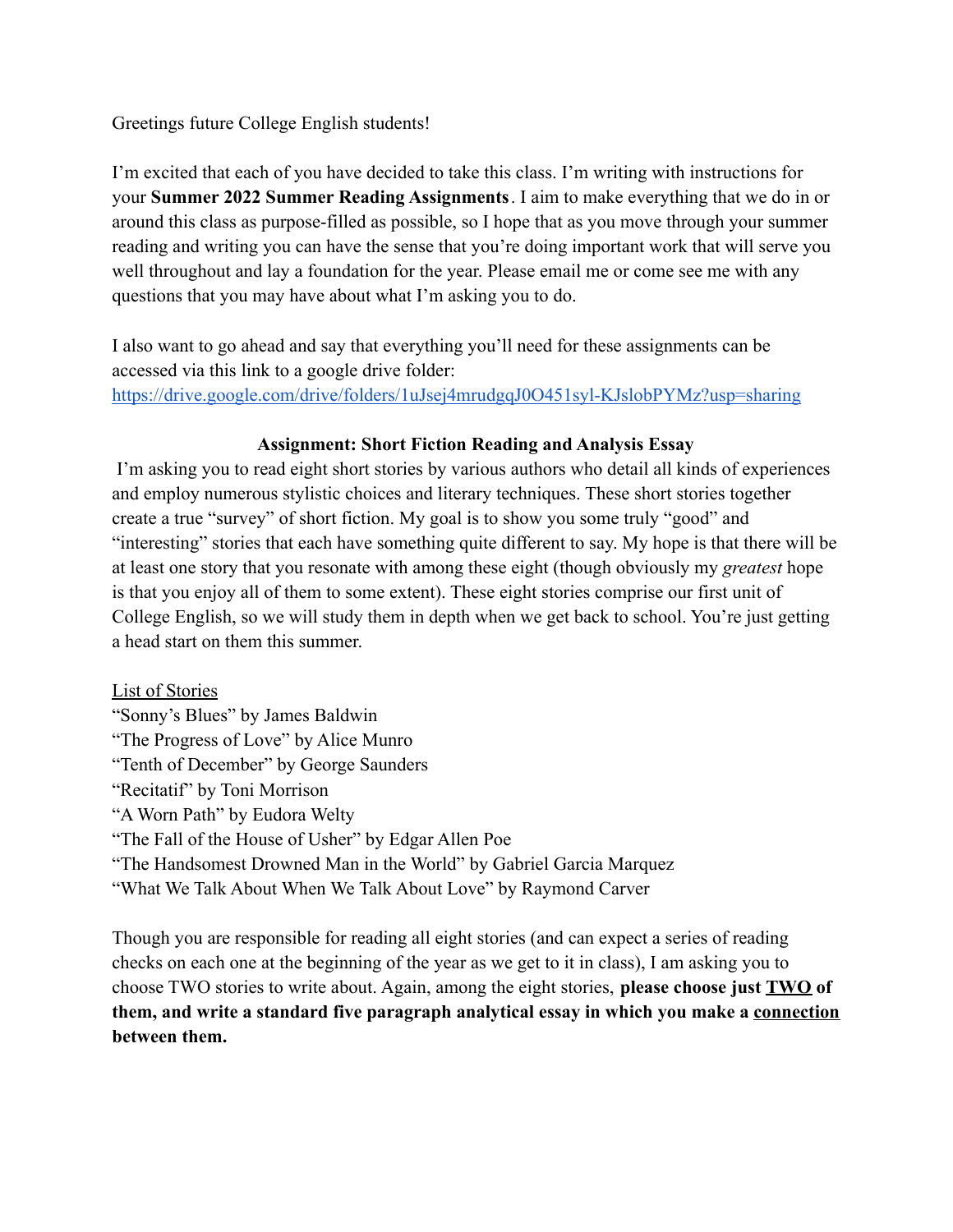## Greetings future College English students!

I'm excited that each of you have decided to take this class. I'm writing with instructions for your **Summer 2022 Summer Reading Assignments**. I aim to make everything that we do in or around this class as purpose-filled as possible, so I hope that as you move through your summer reading and writing you can have the sense that you're doing important work that will serve you well throughout and lay a foundation for the year. Please email me or come see me with any questions that you may have about what I'm asking you to do.

I also want to go ahead and say that everything you'll need for these assignments can be accessed via this link to a google drive folder: <https://drive.google.com/drive/folders/1uJsej4mrudgqJ0O451syl-KJslobPYMz?usp=sharing>

## **Assignment: Short Fiction Reading and Analysis Essay**

I'm asking you to read eight short stories by various authors who detail all kinds of experiences and employ numerous stylistic choices and literary techniques. These short stories together create a true "survey" of short fiction. My goal is to show you some truly "good" and "interesting" stories that each have something quite different to say. My hope is that there will be at least one story that you resonate with among these eight (though obviously my *greatest* hope is that you enjoy all of them to some extent). These eight stories comprise our first unit of College English, so we will study them in depth when we get back to school. You're just getting a head start on them this summer.

List of Stories "Sonny's Blues" by James Baldwin "The Progress of Love" by Alice Munro "Tenth of December" by George Saunders "Recitatif" by Toni Morrison "A Worn Path" by Eudora Welty "The Fall of the House of Usher" by Edgar Allen Poe "The Handsomest Drowned Man in the World" by Gabriel Garcia Marquez "What We Talk About When We Talk About Love" by Raymond Carver

Though you are responsible for reading all eight stories (and can expect a series of reading checks on each one at the beginning of the year as we get to it in class), I am asking you to choose TWO stories to write about. Again, among the eight stories, **please choose just TWO of them, and write a standard five paragraph analytical essay in which you make a connection between them.**